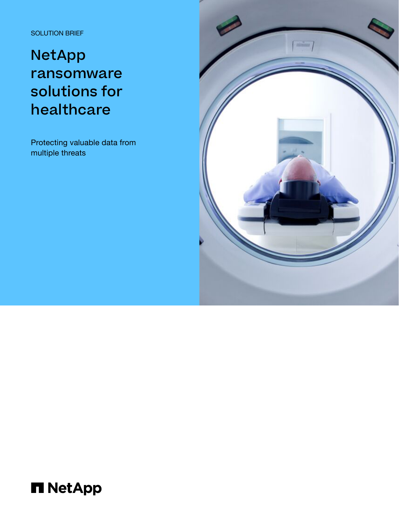SOLUTION BRIEF

# NetApp ransomware solutions for healthcare

Protecting valuable data from multiple threats



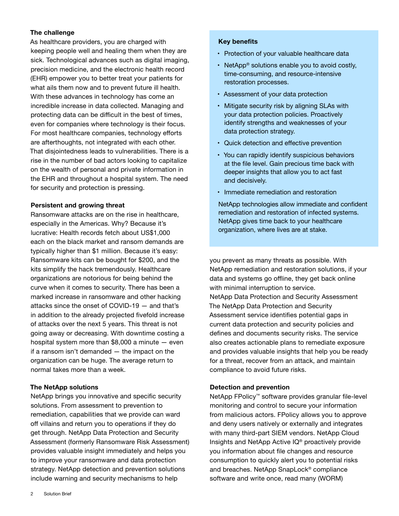## **The challenge**

As healthcare providers, you are charged with keeping people well and healing them when they are sick. Technological advances such as digital imaging, precision medicine, and the electronic health record (EHR) empower you to better treat your patients for what ails them now and to prevent future ill health. With these advances in technology has come an incredible increase in data collected. Managing and protecting data can be difficult in the best of times, even for companies where technology is their focus. For most healthcare companies, technology efforts are afterthoughts, not integrated with each other. That disjointedness leads to vulnerabilities. There is a rise in the number of bad actors looking to capitalize on the wealth of personal and private information in the EHR and throughout a hospital system. The need for security and protection is pressing.

### **Persistent and growing threat**

Ransomware attacks are on the rise in healthcare, especially in the Americas. Why? Because it's lucrative: Health records fetch about US\$1,000 each on the black market and ransom demands are typically higher than \$1 million. Because it's easy: Ransomware kits can be bought for \$200, and the kits simplify the hack tremendously. Healthcare organizations are notorious for being behind the curve when it comes to security. There has been a marked increase in ransomware and other hacking attacks since the onset of COVID-19 — and that's in addition to the already projected fivefold increase of attacks over the next 5 years. This threat is not going away or decreasing. With downtime costing a hospital system more than  $$8,000$  a minute  $-$  even if a ransom isn't demanded — the impact on the organization can be huge. The average return to normal takes more than a week.

## **The NetApp solutions**

NetApp brings you innovative and specific security solutions. From assessment to prevention to remediation, capabilities that we provide can ward off villains and return you to operations if they do get through. NetApp Data Protection and Security Assessment (formerly Ransomware Risk Assessment) provides valuable insight immediately and helps you to improve your ransomware and data protection strategy. NetApp detection and prevention solutions include warning and security mechanisms to help

### **Key benefits**

- Protection of your valuable healthcare data
- NetApp<sup>®</sup> solutions enable you to avoid costly, time-consuming, and resource-intensive restoration processes.
- Assessment of your data protection
- Mitigate security risk by aligning SLAs with your data protection policies. Proactively identify strengths and weaknesses of your data protection strategy.
- Quick detection and effective prevention
- You can rapidly identify suspicious behaviors at the file level. Gain precious time back with deeper insights that allow you to act fast and decisively.
- Immediate remediation and restoration

NetApp technologies allow immediate and confident remediation and restoration of infected systems. NetApp gives time back to your healthcare organization, where lives are at stake.

you prevent as many threats as possible. With NetApp remediation and restoration solutions, if your data and systems go offline, they get back online with minimal interruption to service. NetApp Data Protection and Security Assessment The NetApp Data Protection and Security Assessment service identifies potential gaps in current data protection and security policies and defines and documents security risks. The service also creates actionable plans to remediate exposure and provides valuable insights that help you be ready for a threat, recover from an attack, and maintain compliance to avoid future risks.

## **Detection and prevention**

NetApp FPolicy<sup>™</sup> software provides granular file-level monitoring and control to secure your information from malicious actors. FPolicy allows you to approve and deny users natively or externally and integrates with many third-part SIEM vendors. NetApp Cloud Insights and NetApp Active IQ® proactively provide you information about file changes and resource consumption to quickly alert you to potential risks and breaches. NetApp SnapLock® compliance software and write once, read many (WORM)